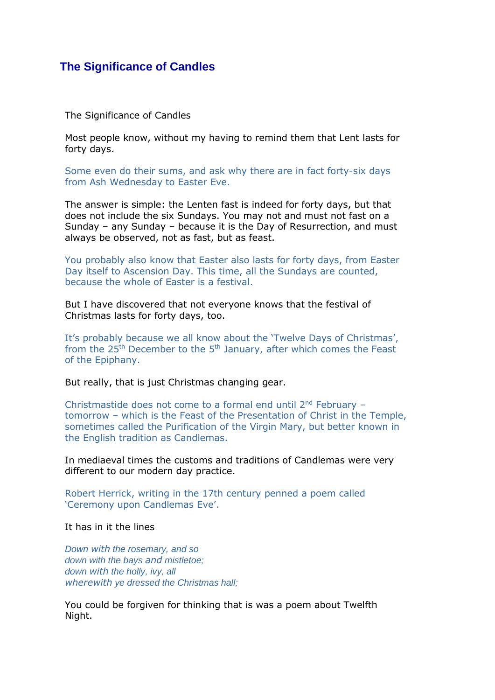## **The Significance of Candles**

The Significance of Candles

Most people know, without my having to remind them that Lent lasts for forty days.

Some even do their sums, and ask why there are in fact forty-six days from Ash Wednesday to Easter Eve.

The answer is simple: the Lenten fast is indeed for forty days, but that does not include the six Sundays. You may not and must not fast on a Sunday – any Sunday – because it is the Day of Resurrection, and must always be observed, not as fast, but as feast.

You probably also know that Easter also lasts for forty days, from Easter Day itself to Ascension Day. This time, all the Sundays are counted, because the whole of Easter is a festival.

But I have discovered that not everyone knows that the festival of Christmas lasts for forty days, too.

It's probably because we all know about the 'Twelve Days of Christmas', from the  $25<sup>th</sup>$  December to the  $5<sup>th</sup>$  January, after which comes the Feast of the Epiphany.

But really, that is just Christmas changing gear.

Christmastide does not come to a formal end until 2<sup>nd</sup> February tomorrow – which is the Feast of the Presentation of Christ in the Temple, sometimes called the Purification of the Virgin Mary, but better known in the English tradition as Candlemas.

In mediaeval times the customs and traditions of Candlemas were very different to our modern day practice.

Robert Herrick, writing in the 17th century penned a poem called 'Ceremony upon Candlemas Eve'.

It has in it the lines

*Down with the rosemary, and so down with the bays and mistletoe; down with the holly, ivy, all wherewith ye dressed the Christmas hall;*

You could be forgiven for thinking that is was a poem about Twelfth Night.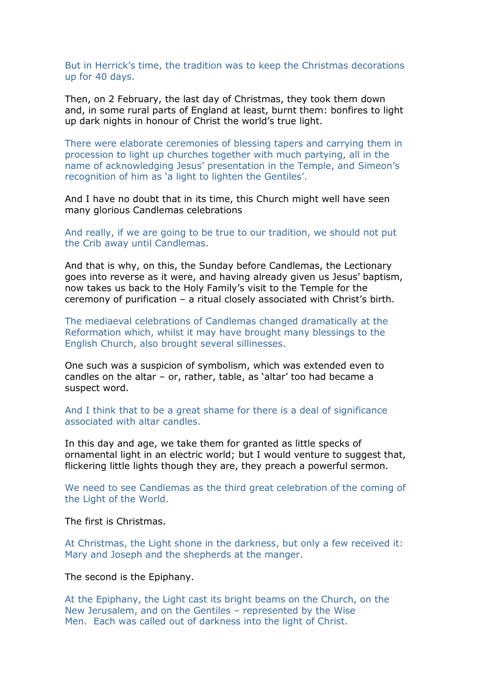But in Herrick's time, the tradition was to keep the Christmas decorations up for 40 days.

Then, on 2 February, the last day of Christmas, they took them down and, in some rural parts of England at least, burnt them: bonfires to light up dark nights in honour of Christ the world's true light.

There were elaborate ceremonies of blessing tapers and carrying them in procession to light up churches together with much partying, all in the name of acknowledging Jesus' presentation in the Temple, and Simeon's recognition of him as 'a light to lighten the Gentiles'.

And I have no doubt that in its time, this Church might well have seen many glorious Candlemas celebrations

And really, if we are going to be true to our tradition, we should not put the Crib away until Candlemas.

And that is why, on this, the Sunday before Candlemas, the Lectionary goes into reverse as it were, and having already given us Jesus' baptism, now takes us back to the Holy Family's visit to the Temple for the ceremony of purification – a ritual closely associated with Christ's birth.

The mediaeval celebrations of Candlemas changed dramatically at the Reformation which, whilst it may have brought many blessings to the English Church, also brought several sillinesses.

One such was a suspicion of symbolism, which was extended even to candles on the altar – or, rather, table, as 'altar' too had became a suspect word.

And I think that to be a great shame for there is a deal of significance associated with altar candles.

In this day and age, we take them for granted as little specks of ornamental light in an electric world; but I would venture to suggest that, flickering little lights though they are, they preach a powerful sermon.

We need to see Candlemas as the third great celebration of the coming of the Light of the World.

The first is Christmas.

At Christmas, the Light shone in the darkness, but only a few received it: Mary and Joseph and the shepherds at the manger.

The second is the Epiphany.

At the Epiphany, the Light cast its bright beams on the Church, on the New Jerusalem, and on the Gentiles – represented by the Wise Men. Each was called out of darkness into the light of Christ.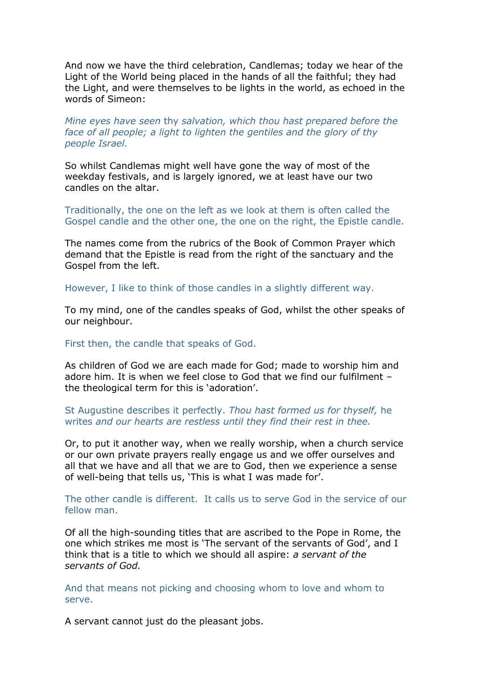And now we have the third celebration, Candlemas; today we hear of the Light of the World being placed in the hands of all the faithful; they had the Light, and were themselves to be lights in the world, as echoed in the words of Simeon:

## *Mine eyes have seen* thy *salvation, which thou hast prepared before the face of all people; a light to lighten the gentiles and the glory of thy people Israel.*

So whilst Candlemas might well have gone the way of most of the weekday festivals, and is largely ignored, we at least have our two candles on the altar.

Traditionally, the one on the left as we look at them is often called the Gospel candle and the other one, the one on the right, the Epistle candle.

The names come from the rubrics of the Book of Common Prayer which demand that the Epistle is read from the right of the sanctuary and the Gospel from the left.

However, I like to think of those candles in a slightly different way.

To my mind, one of the candles speaks of God, whilst the other speaks of our neighbour.

First then, the candle that speaks of God.

As children of God we are each made for God; made to worship him and adore him. It is when we feel close to God that we find our fulfilment – the theological term for this is 'adoration'.

## St Augustine describes it perfectly. *Thou hast formed us for thyself,* he writes *and our hearts are restless until they find their rest in thee.*

Or, to put it another way, when we really worship, when a church service or our own private prayers really engage us and we offer ourselves and all that we have and all that we are to God, then we experience a sense of well-being that tells us, 'This is what I was made for'.

The other candle is different. It calls us to serve God in the service of our fellow man.

Of all the high-sounding titles that are ascribed to the Pope in Rome, the one which strikes me most is 'The servant of the servants of God', and I think that is a title to which we should all aspire: *a servant of the servants of God.* 

And that means not picking and choosing whom to love and whom to serve.

A servant cannot just do the pleasant jobs.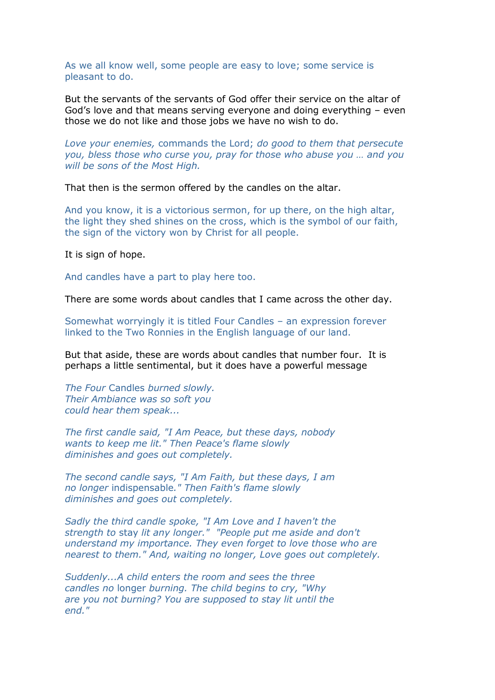As we all know well, some people are easy to love; some service is pleasant to do.

But the servants of the servants of God offer their service on the altar of God's love and that means serving everyone and doing everything – even those we do not like and those jobs we have no wish to do.

*Love your enemies,* commands the Lord; *do good to them that persecute you, bless those who curse you, pray for those who abuse you … and you will be sons of the Most High.* 

That then is the sermon offered by the candles on the altar.

And you know, it is a victorious sermon, for up there, on the high altar, the light they shed shines on the cross, which is the symbol of our faith, the sign of the victory won by Christ for all people.

It is sign of hope.

And candles have a part to play here too.

There are some words about candles that I came across the other day.

Somewhat worryingly it is titled Four Candles – an expression forever linked to the Two Ronnies in the English language of our land.

But that aside, these are words about candles that number four. It is perhaps a little sentimental, but it does have a powerful message

*The Four* Candles *burned slowly. Their Ambiance was so soft you could hear them speak...*

*The first candle said, "I Am Peace, but these days, nobody wants to keep me lit." Then Peace's flame slowly diminishes and goes out completely.*

*The second candle says, "I Am Faith, but these days, I am no longer* indispensable*." Then Faith's flame slowly diminishes and goes out completely.*

*Sadly the third candle spoke, "I Am Love and I haven't the strength to* stay *lit any longer." "People put me aside and don't understand my importance. They even forget to love those who are nearest to them." And, waiting no longer, Love goes out completely.*

*Suddenly...A child enters the room and sees the three candles no* longer *burning. The child begins to cry, "Why are you not burning? You are supposed to stay lit until the end."*